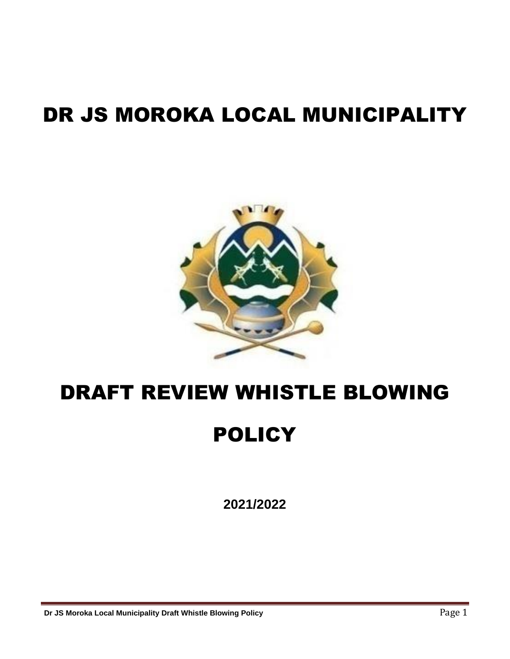# DR JS MOROKA LOCAL MUNICIPALITY



## DRAFT REVIEW WHISTLE BLOWING

# **POLICY**

**2021/2022**

**Dr JS Moroka Local Municipality Draft Whistle Blowing Policy <b>Page 1 Page 1**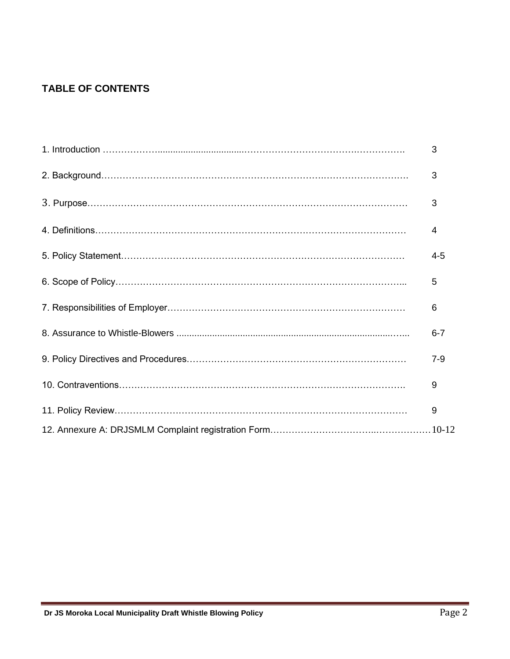### **TABLE OF CONTENTS**

| 3       |
|---------|
| 3       |
| 3       |
| 4       |
| $4 - 5$ |
| 5       |
| 6       |
| $6 - 7$ |
| $7 - 9$ |
| 9       |
| 9       |
|         |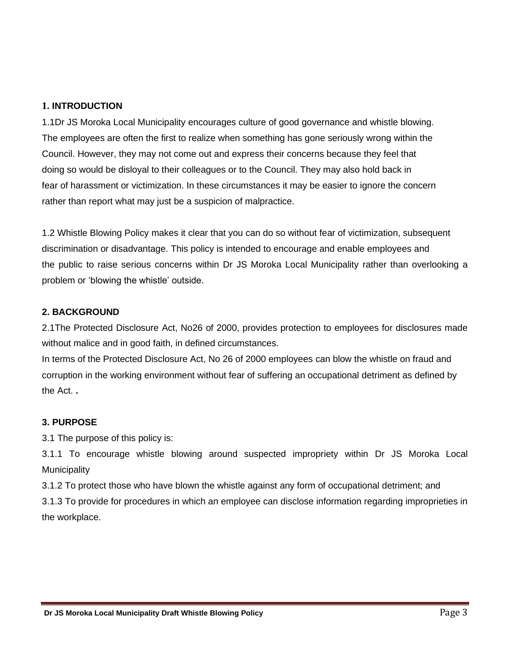#### **1. INTRODUCTION**

1.1Dr JS Moroka Local Municipality encourages culture of good governance and whistle blowing. The employees are often the first to realize when something has gone seriously wrong within the Council. However, they may not come out and express their concerns because they feel that doing so would be disloyal to their colleagues or to the Council. They may also hold back in fear of harassment or victimization. In these circumstances it may be easier to ignore the concern rather than report what may just be a suspicion of malpractice.

1.2 Whistle Blowing Policy makes it clear that you can do so without fear of victimization, subsequent discrimination or disadvantage. This policy is intended to encourage and enable employees and the public to raise serious concerns within Dr JS Moroka Local Municipality rather than overlooking a problem or 'blowing the whistle' outside.

#### **2. BACKGROUND**

2.1The Protected Disclosure Act, No26 of 2000, provides protection to employees for disclosures made without malice and in good faith, in defined circumstances.

In terms of the Protected Disclosure Act, No 26 of 2000 employees can blow the whistle on fraud and corruption in the working environment without fear of suffering an occupational detriment as defined by the Act. **.** 

#### **3. PURPOSE**

3.1 The purpose of this policy is:

3.1.1 To encourage whistle blowing around suspected impropriety within Dr JS Moroka Local **Municipality** 

3.1.2 To protect those who have blown the whistle against any form of occupational detriment; and

3.1.3 To provide for procedures in which an employee can disclose information regarding improprieties in the workplace.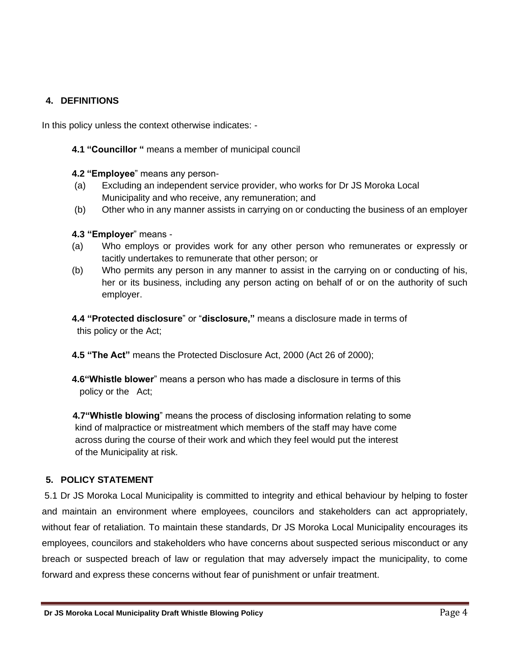#### **4. DEFINITIONS**

In this policy unless the context otherwise indicates: -

- **4.1 "Councillor "** means a member of municipal council
- **4.2 "Employee**" means any person-
- (a) Excluding an independent service provider, who works for Dr JS Moroka Local Municipality and who receive, any remuneration; and
- (b) Other who in any manner assists in carrying on or conducting the business of an employer
- **4.3 "Employer**" means -
- (a) Who employs or provides work for any other person who remunerates or expressly or tacitly undertakes to remunerate that other person; or
- (b) Who permits any person in any manner to assist in the carrying on or conducting of his, her or its business, including any person acting on behalf of or on the authority of such employer.

**4.4 "Protected disclosure**" or "**disclosure,"** means a disclosure made in terms of this policy or the Act;

**4.5 "The Act"** means the Protected Disclosure Act, 2000 (Act 26 of 2000);

**4.6"Whistle blower**" means a person who has made a disclosure in terms of this policy or the Act;

 **4.7"Whistle blowing**" means the process of disclosing information relating to some kind of malpractice or mistreatment which members of the staff may have come across during the course of their work and which they feel would put the interest of the Municipality at risk.

#### **5. POLICY STATEMENT**

5.1 Dr JS Moroka Local Municipality is committed to integrity and ethical behaviour by helping to foster and maintain an environment where employees, councilors and stakeholders can act appropriately, without fear of retaliation. To maintain these standards, Dr JS Moroka Local Municipality encourages its employees, councilors and stakeholders who have concerns about suspected serious misconduct or any breach or suspected breach of law or regulation that may adversely impact the municipality, to come forward and express these concerns without fear of punishment or unfair treatment.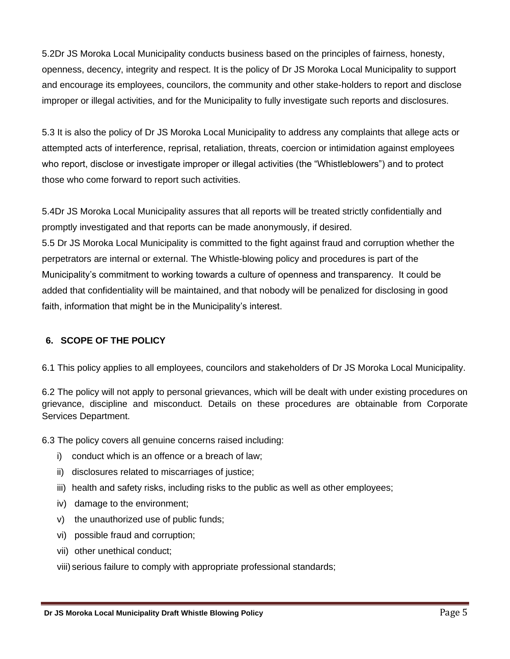5.2Dr JS Moroka Local Municipality conducts business based on the principles of fairness, honesty, openness, decency, integrity and respect. It is the policy of Dr JS Moroka Local Municipality to support and encourage its employees, councilors, the community and other stake-holders to report and disclose improper or illegal activities, and for the Municipality to fully investigate such reports and disclosures.

5.3 It is also the policy of Dr JS Moroka Local Municipality to address any complaints that allege acts or attempted acts of interference, reprisal, retaliation, threats, coercion or intimidation against employees who report, disclose or investigate improper or illegal activities (the "Whistleblowers") and to protect those who come forward to report such activities.

5.4Dr JS Moroka Local Municipality assures that all reports will be treated strictly confidentially and promptly investigated and that reports can be made anonymously, if desired.

5.5 Dr JS Moroka Local Municipality is committed to the fight against fraud and corruption whether the perpetrators are internal or external. The Whistle-blowing policy and procedures is part of the Municipality's commitment to working towards a culture of openness and transparency. It could be added that confidentiality will be maintained, and that nobody will be penalized for disclosing in good faith, information that might be in the Municipality's interest.

#### **6. SCOPE OF THE POLICY**

6.1 This policy applies to all employees, councilors and stakeholders of Dr JS Moroka Local Municipality.

6.2 The policy will not apply to personal grievances, which will be dealt with under existing procedures on grievance, discipline and misconduct. Details on these procedures are obtainable from Corporate Services Department.

6.3 The policy covers all genuine concerns raised including:

- i) conduct which is an offence or a breach of law;
- ii) disclosures related to miscarriages of justice;
- iii) health and safety risks, including risks to the public as well as other employees;
- iv) damage to the environment;
- v) the unauthorized use of public funds;
- vi) possible fraud and corruption;
- vii) other unethical conduct;

viii) serious failure to comply with appropriate professional standards;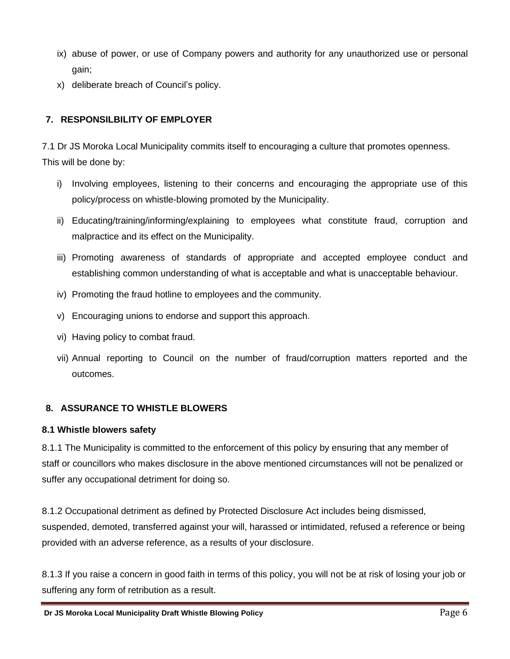- ix) abuse of power, or use of Company powers and authority for any unauthorized use or personal gain;
- x) deliberate breach of Council's policy.

#### **7. RESPONSILBILITY OF EMPLOYER**

7.1 Dr JS Moroka Local Municipality commits itself to encouraging a culture that promotes openness. This will be done by:

- i) Involving employees, listening to their concerns and encouraging the appropriate use of this policy/process on whistle-blowing promoted by the Municipality.
- ii) Educating/training/informing/explaining to employees what constitute fraud, corruption and malpractice and its effect on the Municipality.
- iii) Promoting awareness of standards of appropriate and accepted employee conduct and establishing common understanding of what is acceptable and what is unacceptable behaviour.
- iv) Promoting the fraud hotline to employees and the community.
- v) Encouraging unions to endorse and support this approach.
- vi) Having policy to combat fraud.
- vii) Annual reporting to Council on the number of fraud/corruption matters reported and the outcomes.

#### **8. ASSURANCE TO WHISTLE BLOWERS**

#### **8.1 Whistle blowers safety**

8.1.1 The Municipality is committed to the enforcement of this policy by ensuring that any member of staff or councillors who makes disclosure in the above mentioned circumstances will not be penalized or suffer any occupational detriment for doing so.

8.1.2 Occupational detriment as defined by Protected Disclosure Act includes being dismissed, suspended, demoted, transferred against your will, harassed or intimidated, refused a reference or being provided with an adverse reference, as a results of your disclosure.

8.1.3 If you raise a concern in good faith in terms of this policy, you will not be at risk of losing your job or suffering any form of retribution as a result.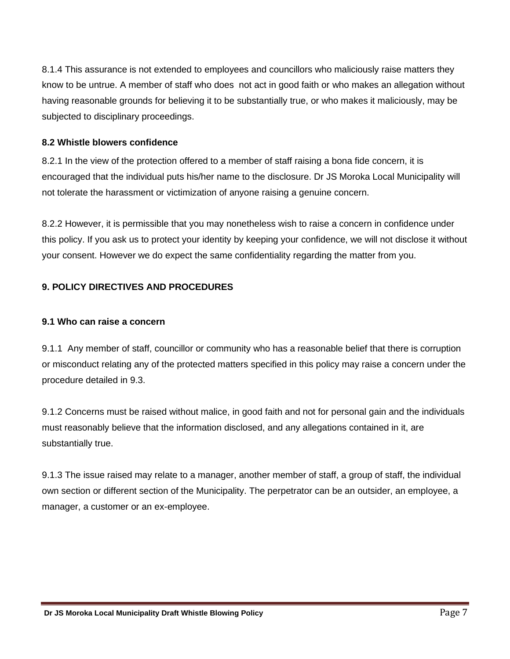8.1.4 This assurance is not extended to employees and councillors who maliciously raise matters they know to be untrue. A member of staff who does not act in good faith or who makes an allegation without having reasonable grounds for believing it to be substantially true, or who makes it maliciously, may be subjected to disciplinary proceedings.

#### **8.2 Whistle blowers confidence**

8.2.1 In the view of the protection offered to a member of staff raising a bona fide concern, it is encouraged that the individual puts his/her name to the disclosure. Dr JS Moroka Local Municipality will not tolerate the harassment or victimization of anyone raising a genuine concern.

8.2.2 However, it is permissible that you may nonetheless wish to raise a concern in confidence under this policy. If you ask us to protect your identity by keeping your confidence, we will not disclose it without your consent. However we do expect the same confidentiality regarding the matter from you.

#### **9. POLICY DIRECTIVES AND PROCEDURES**

#### **9.1 Who can raise a concern**

9.1.1 Any member of staff, councillor or community who has a reasonable belief that there is corruption or misconduct relating any of the protected matters specified in this policy may raise a concern under the procedure detailed in 9.3.

9.1.2 Concerns must be raised without malice, in good faith and not for personal gain and the individuals must reasonably believe that the information disclosed, and any allegations contained in it, are substantially true.

9.1.3 The issue raised may relate to a manager, another member of staff, a group of staff, the individual own section or different section of the Municipality. The perpetrator can be an outsider, an employee, a manager, a customer or an ex-employee.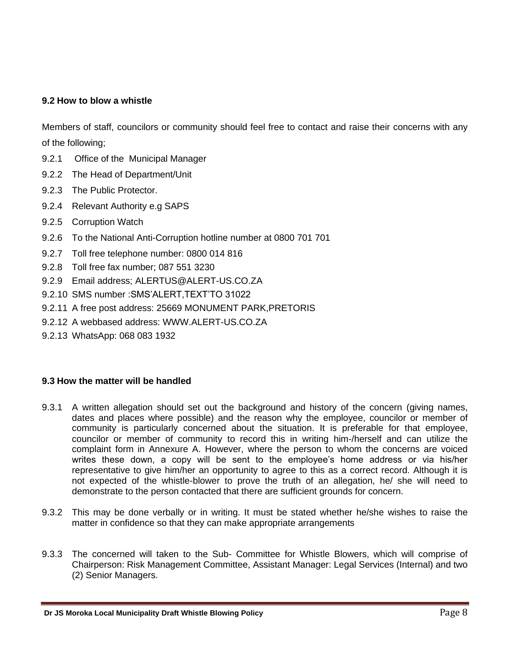#### **9.2 How to blow a whistle**

Members of staff, councilors or community should feel free to contact and raise their concerns with any of the following;

- 9.2.1 Office of the Municipal Manager
- 9.2.2 The Head of Department/Unit
- 9.2.3 The Public Protector.
- 9.2.4 Relevant Authority e.g SAPS
- 9.2.5 Corruption Watch
- 9.2.6 To the National Anti-Corruption hotline number at 0800 701 701
- 9.2.7 Toll free telephone number: 0800 014 816
- 9.2.8 Toll free fax number; 087 551 3230
- 9.2.9 Email address; ALERTUS@ALERT-US.CO.ZA
- 9.2.10 SMS number :SMS'ALERT,TEXT'TO 31022
- 9.2.11 A free post address: 25669 MONUMENT PARK,PRETORIS
- 9.2.12 A webbased address: WWW.ALERT-US.CO.ZA
- 9.2.13 WhatsApp: 068 083 1932

#### **9.3 How the matter will be handled**

- 9.3.1 A written allegation should set out the background and history of the concern (giving names, dates and places where possible) and the reason why the employee, councilor or member of community is particularly concerned about the situation. It is preferable for that employee, councilor or member of community to record this in writing him-/herself and can utilize the complaint form in Annexure A. However, where the person to whom the concerns are voiced writes these down, a copy will be sent to the employee's home address or via his/her representative to give him/her an opportunity to agree to this as a correct record. Although it is not expected of the whistle-blower to prove the truth of an allegation, he/ she will need to demonstrate to the person contacted that there are sufficient grounds for concern.
- 9.3.2 This may be done verbally or in writing. It must be stated whether he/she wishes to raise the matter in confidence so that they can make appropriate arrangements
- 9.3.3 The concerned will taken to the Sub- Committee for Whistle Blowers, which will comprise of Chairperson: Risk Management Committee, Assistant Manager: Legal Services (Internal) and two (2) Senior Managers.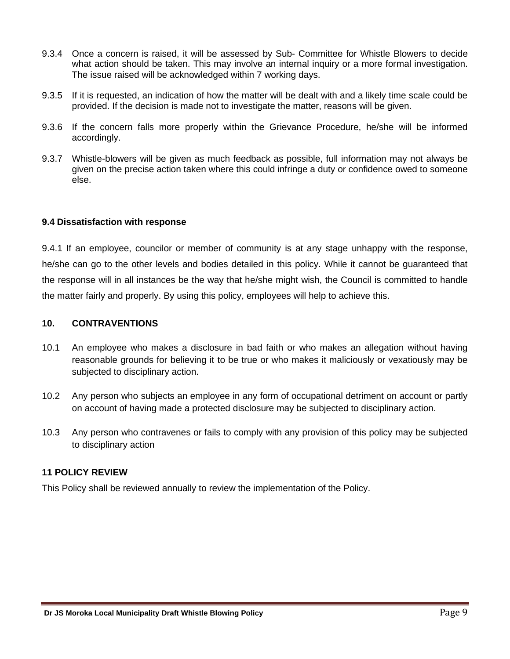- 9.3.4 Once a concern is raised, it will be assessed by Sub- Committee for Whistle Blowers to decide what action should be taken. This may involve an internal inquiry or a more formal investigation. The issue raised will be acknowledged within 7 working days.
- 9.3.5 If it is requested, an indication of how the matter will be dealt with and a likely time scale could be provided. If the decision is made not to investigate the matter, reasons will be given.
- 9.3.6 If the concern falls more properly within the Grievance Procedure, he/she will be informed accordingly.
- 9.3.7 Whistle-blowers will be given as much feedback as possible, full information may not always be given on the precise action taken where this could infringe a duty or confidence owed to someone else.

#### **9.4 Dissatisfaction with response**

9.4.1 If an employee, councilor or member of community is at any stage unhappy with the response, he/she can go to the other levels and bodies detailed in this policy. While it cannot be guaranteed that the response will in all instances be the way that he/she might wish, the Council is committed to handle the matter fairly and properly. By using this policy, employees will help to achieve this.

#### **10. CONTRAVENTIONS**

- 10.1 An employee who makes a disclosure in bad faith or who makes an allegation without having reasonable grounds for believing it to be true or who makes it maliciously or vexatiously may be subjected to disciplinary action.
- 10.2 Any person who subjects an employee in any form of occupational detriment on account or partly on account of having made a protected disclosure may be subjected to disciplinary action.
- 10.3 Any person who contravenes or fails to comply with any provision of this policy may be subjected to disciplinary action

#### **11 POLICY REVIEW**

This Policy shall be reviewed annually to review the implementation of the Policy.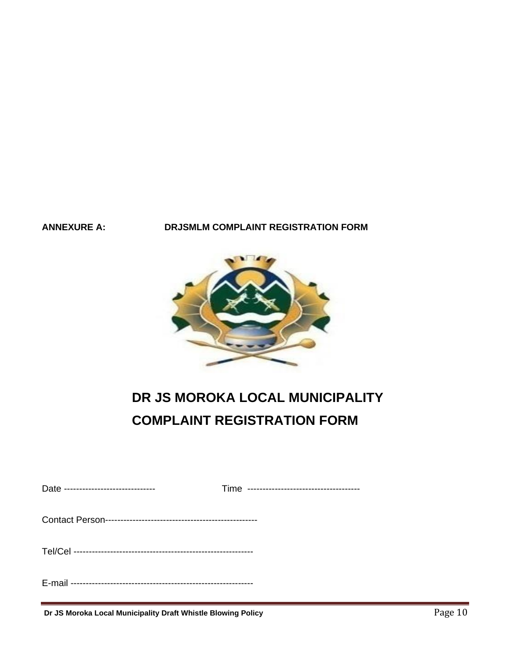#### **ANNEXURE A: DRJSMLM COMPLAINT REGISTRATION FORM**



### **DR JS MOROKA LOCAL MUNICIPALITY COMPLAINT REGISTRATION FORM**

| Date ------------------------------ |  |
|-------------------------------------|--|
|                                     |  |
|                                     |  |
|                                     |  |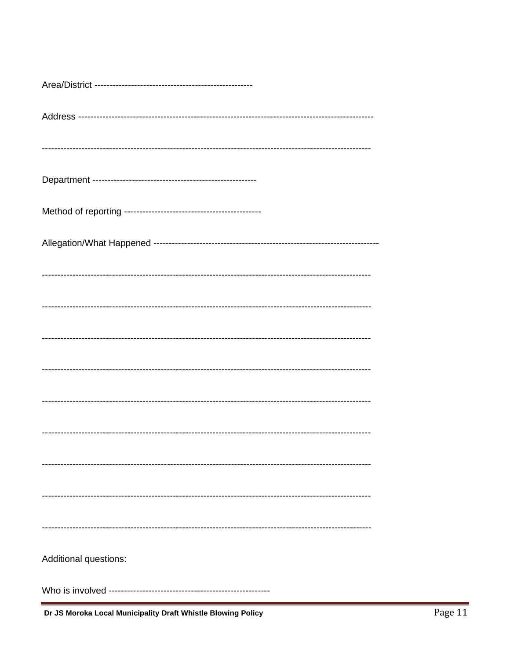| Additional questions: |
|-----------------------|
|                       |